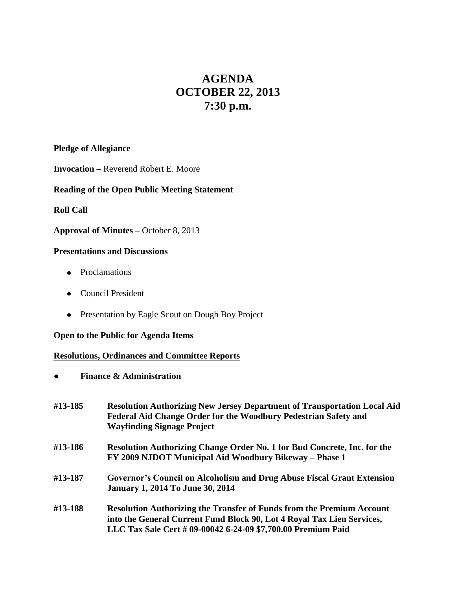# **AGENDA OCTOBER 22, 2013 7:30 p.m.**

## **Pledge of Allegiance**

**Invocation –** Reverend Robert E. Moore

# **Reading of the Open Public Meeting Statement**

## **Roll Call**

#### **Approval of Minutes –** October 8, 2013

### **Presentations and Discussions**

- Proclamations
- Council President
- Presentation by Eagle Scout on Dough Boy Project

## **Open to the Public for Agenda Items**

## **Resolutions, Ordinances and Committee Reports**

**● Finance & Administration**

| #13-185 | <b>Resolution Authorizing New Jersey Department of Transportation Local Aid</b><br>Federal Aid Change Order for the Woodbury Pedestrian Safety and<br><b>Wayfinding Signage Project</b>                                |
|---------|------------------------------------------------------------------------------------------------------------------------------------------------------------------------------------------------------------------------|
| #13-186 | Resolution Authorizing Change Order No. 1 for Bud Concrete, Inc. for the<br>FY 2009 NJDOT Municipal Aid Woodbury Bikeway – Phase 1                                                                                     |
| #13-187 | Governor's Council on Alcoholism and Drug Abuse Fiscal Grant Extension<br><b>January 1, 2014 To June 30, 2014</b>                                                                                                      |
| #13-188 | <b>Resolution Authorizing the Transfer of Funds from the Premium Account</b><br>into the General Current Fund Block 90, Lot 4 Royal Tax Lien Services,<br>LLC Tax Sale Cert # 09-00042 6-24-09 \$7,700.00 Premium Paid |